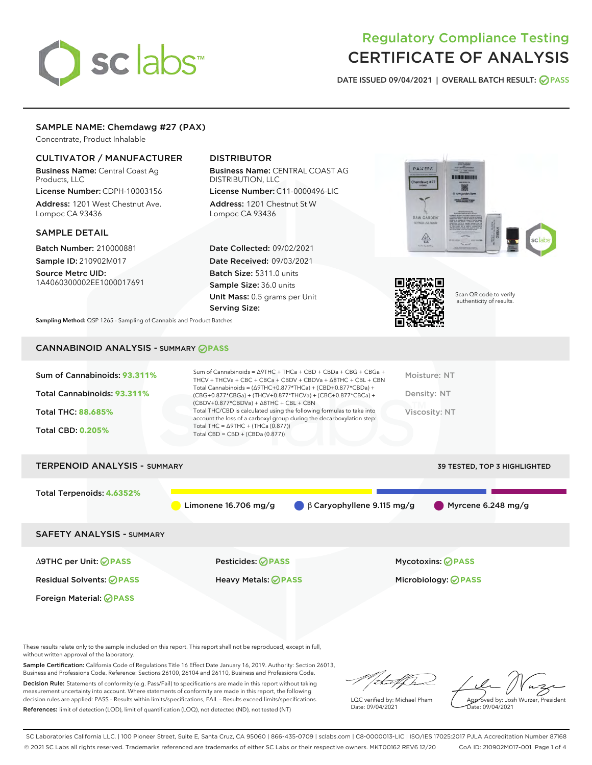# sclabs<sup>\*</sup>

## Regulatory Compliance Testing CERTIFICATE OF ANALYSIS

DATE ISSUED 09/04/2021 | OVERALL BATCH RESULT: @ PASS

#### SAMPLE NAME: Chemdawg #27 (PAX)

Concentrate, Product Inhalable

#### CULTIVATOR / MANUFACTURER

Business Name: Central Coast Ag Products, LLC

License Number: CDPH-10003156 Address: 1201 West Chestnut Ave. Lompoc CA 93436

#### SAMPLE DETAIL

Batch Number: 210000881 Sample ID: 210902M017

Source Metrc UID: 1A4060300002EE1000017691

#### DISTRIBUTOR

Business Name: CENTRAL COAST AG DISTRIBUTION, LLC License Number: C11-0000496-LIC

Address: 1201 Chestnut St W Lompoc CA 93436

Date Collected: 09/02/2021 Date Received: 09/03/2021 Batch Size: 5311.0 units Sample Size: 36.0 units Unit Mass: 0.5 grams per Unit Serving Size:





Scan QR code to verify authenticity of results.

Sampling Method: QSP 1265 - Sampling of Cannabis and Product Batches

### CANNABINOID ANALYSIS - SUMMARY **PASS**

| Sum of Cannabinoids: 93.311%<br>Total Cannabinoids: 93.311%<br><b>Total THC: 88.685%</b><br><b>Total CBD: 0.205%</b> | Sum of Cannabinoids = $\triangle$ 9THC + THCa + CBD + CBDa + CBG + CBGa +<br>THCV + THCVa + CBC + CBCa + CBDV + CBDVa + $\triangle$ 8THC + CBL + CBN<br>Total Cannabinoids = $(\Delta$ 9THC+0.877*THCa) + (CBD+0.877*CBDa) +<br>(CBG+0.877*CBGa) + (THCV+0.877*THCVa) + (CBC+0.877*CBCa) +<br>$(CBDV+0.877*CBDVa) + \Delta 8THC + CBL + CBN$<br>Total THC/CBD is calculated using the following formulas to take into<br>account the loss of a carboxyl group during the decarboxylation step:<br>Total THC = $\triangle$ 9THC + (THCa (0.877))<br>Total CBD = $CBD + (CBDa (0.877))$ | Moisture: NT<br>Density: NT<br>Viscosity: NT                        |
|----------------------------------------------------------------------------------------------------------------------|---------------------------------------------------------------------------------------------------------------------------------------------------------------------------------------------------------------------------------------------------------------------------------------------------------------------------------------------------------------------------------------------------------------------------------------------------------------------------------------------------------------------------------------------------------------------------------------|---------------------------------------------------------------------|
| <b>TERPENOID ANALYSIS - SUMMARY</b>                                                                                  |                                                                                                                                                                                                                                                                                                                                                                                                                                                                                                                                                                                       | <b>39 TESTED, TOP 3 HIGHLIGHTED</b>                                 |
| Total Terpenoids: 4.6352%                                                                                            | Limonene $16.706$ mg/g                                                                                                                                                                                                                                                                                                                                                                                                                                                                                                                                                                | Myrcene $6.248$ mg/g<br>$\bigcirc$ $\beta$ Caryophyllene 9.115 mg/g |
| <b>SAFETY ANALYSIS - SUMMARY</b>                                                                                     |                                                                                                                                                                                                                                                                                                                                                                                                                                                                                                                                                                                       |                                                                     |
| $\triangle$ 9THC per Unit: $\odot$ PASS                                                                              | Pesticides: ⊘PASS                                                                                                                                                                                                                                                                                                                                                                                                                                                                                                                                                                     | <b>Mycotoxins: ⊘PASS</b>                                            |

Residual Solvents: **PASS** Heavy Metals: **PASS** Microbiology: **PASS** Foreign Material: **PASS**

These results relate only to the sample included on this report. This report shall not be reproduced, except in full, without written approval of the laboratory.

Sample Certification: California Code of Regulations Title 16 Effect Date January 16, 2019. Authority: Section 26013, Business and Professions Code. Reference: Sections 26100, 26104 and 26110, Business and Professions Code.

Decision Rule: Statements of conformity (e.g. Pass/Fail) to specifications are made in this report without taking measurement uncertainty into account. Where statements of conformity are made in this report, the following decision rules are applied: PASS – Results within limits/specifications, FAIL – Results exceed limits/specifications. References: limit of detection (LOD), limit of quantification (LOQ), not detected (ND), not tested (NT)

that fCh

LQC verified by: Michael Pham Date: 09/04/2021

Approved by: Josh Wurzer, President Date: 09/04/2021

SC Laboratories California LLC. | 100 Pioneer Street, Suite E, Santa Cruz, CA 95060 | 866-435-0709 | sclabs.com | C8-0000013-LIC | ISO/IES 17025:2017 PJLA Accreditation Number 87168 © 2021 SC Labs all rights reserved. Trademarks referenced are trademarks of either SC Labs or their respective owners. MKT00162 REV6 12/20 CoA ID: 210902M017-001 Page 1 of 4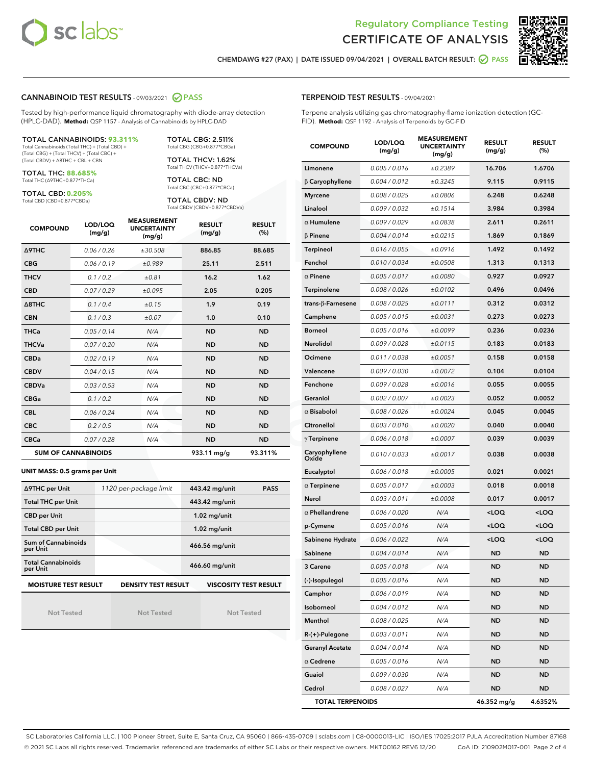



CHEMDAWG #27 (PAX) | DATE ISSUED 09/04/2021 | OVERALL BATCH RESULT: **○** PASS

#### CANNABINOID TEST RESULTS - 09/03/2021 2 PASS

Tested by high-performance liquid chromatography with diode-array detection (HPLC-DAD). **Method:** QSP 1157 - Analysis of Cannabinoids by HPLC-DAD

#### TOTAL CANNABINOIDS: **93.311%**

Total Cannabinoids (Total THC) + (Total CBD) + (Total CBG) + (Total THCV) + (Total CBC) + (Total CBDV) + ∆8THC + CBL + CBN

TOTAL THC: **88.685%** Total THC (∆9THC+0.877\*THCa)

TOTAL CBD: **0.205%**

Total CBD (CBD+0.877\*CBDa)

TOTAL CBG: 2.511% Total CBG (CBG+0.877\*CBGa)

TOTAL THCV: 1.62% Total THCV (THCV+0.877\*THCVa)

TOTAL CBC: ND Total CBC (CBC+0.877\*CBCa)

TOTAL CBDV: ND Total CBDV (CBDV+0.877\*CBDVa)

| <b>COMPOUND</b>  | LOD/LOQ<br>(mg/g)          | <b>MEASUREMENT</b><br><b>UNCERTAINTY</b><br>(mg/g) | <b>RESULT</b><br>(mg/g) | <b>RESULT</b><br>(%) |
|------------------|----------------------------|----------------------------------------------------|-------------------------|----------------------|
| <b>A9THC</b>     | 0.06/0.26                  | ±30.508                                            | 886.85                  | 88.685               |
| <b>CBG</b>       | 0.06/0.19                  | ±0.989                                             | 25.11                   | 2.511                |
| <b>THCV</b>      | 0.1/0.2                    | ±0.81                                              | 16.2                    | 1.62                 |
| <b>CBD</b>       | 0.07/0.29                  | ±0.095                                             | 2.05                    | 0.205                |
| $\triangle$ 8THC | 0.1/0.4                    | ±0.15                                              | 1.9                     | 0.19                 |
| <b>CBN</b>       | 0.1/0.3                    | ±0.07                                              | 1.0                     | 0.10                 |
| <b>THCa</b>      | 0.05/0.14                  | N/A                                                | <b>ND</b>               | <b>ND</b>            |
| <b>THCVa</b>     | 0.07 / 0.20                | N/A                                                | <b>ND</b>               | <b>ND</b>            |
| <b>CBDa</b>      | 0.02/0.19                  | N/A                                                | <b>ND</b>               | <b>ND</b>            |
| <b>CBDV</b>      | 0.04 / 0.15                | N/A                                                | <b>ND</b>               | <b>ND</b>            |
| <b>CBDVa</b>     | 0.03/0.53                  | N/A                                                | <b>ND</b>               | <b>ND</b>            |
| <b>CBGa</b>      | 0.1 / 0.2                  | N/A                                                | <b>ND</b>               | <b>ND</b>            |
| <b>CBL</b>       | 0.06 / 0.24                | N/A                                                | <b>ND</b>               | <b>ND</b>            |
| <b>CBC</b>       | 0.2 / 0.5                  | N/A                                                | <b>ND</b>               | <b>ND</b>            |
| <b>CBCa</b>      | 0.07/0.28                  | N/A                                                | <b>ND</b>               | <b>ND</b>            |
|                  | <b>SUM OF CANNABINOIDS</b> |                                                    | $933.11 \text{ mg/q}$   | 93.311%              |

#### **UNIT MASS: 0.5 grams per Unit**

| ∆9THC per Unit                        | 1120 per-package limit     | 443.42 mg/unit<br><b>PASS</b> |
|---------------------------------------|----------------------------|-------------------------------|
| <b>Total THC per Unit</b>             |                            | 443.42 mg/unit                |
| <b>CBD per Unit</b>                   |                            | $1.02$ mg/unit                |
| <b>Total CBD per Unit</b>             |                            | $1.02$ mg/unit                |
| Sum of Cannabinoids<br>per Unit       |                            | 466.56 mg/unit                |
| <b>Total Cannabinoids</b><br>per Unit |                            | 466.60 mg/unit                |
| <b>MOISTURE TEST RESULT</b>           | <b>DENSITY TEST RESULT</b> | <b>VISCOSITY TEST RESULT</b>  |

Not Tested

Not Tested

Not Tested

#### TERPENOID TEST RESULTS - 09/04/2021

Terpene analysis utilizing gas chromatography-flame ionization detection (GC-FID). **Method:** QSP 1192 - Analysis of Terpenoids by GC-FID

| <b>COMPOUND</b>          | LOD/LOQ<br>(mg/g) | <b>MEASUREMENT</b><br><b>UNCERTAINTY</b><br>(mg/g) | <b>RESULT</b><br>(mg/g)                         | <b>RESULT</b><br>(%) |
|--------------------------|-------------------|----------------------------------------------------|-------------------------------------------------|----------------------|
| Limonene                 | 0.005 / 0.016     | ±0.2389                                            | 16.706                                          | 1.6706               |
| $\beta$ Caryophyllene    | 0.004 / 0.012     | ±0.3245                                            | 9.115                                           | 0.9115               |
| <b>Myrcene</b>           | 0.008 / 0.025     | ±0.0806                                            | 6.248                                           | 0.6248               |
| Linalool                 | 0.009 / 0.032     | ±0.1514                                            | 3.984                                           | 0.3984               |
| $\alpha$ Humulene        | 0.009/0.029       | ±0.0838                                            | 2.611                                           | 0.2611               |
| $\beta$ Pinene           | 0.004 / 0.014     | ±0.0215                                            | 1.869                                           | 0.1869               |
| <b>Terpineol</b>         | 0.016 / 0.055     | ±0.0916                                            | 1.492                                           | 0.1492               |
| Fenchol                  | 0.010 / 0.034     | ±0.0508                                            | 1.313                                           | 0.1313               |
| $\alpha$ Pinene          | 0.005 / 0.017     | ±0.0080                                            | 0.927                                           | 0.0927               |
| Terpinolene              | 0.008 / 0.026     | ±0.0102                                            | 0.496                                           | 0.0496               |
| $trans-\beta$ -Farnesene | 0.008 / 0.025     | ±0.0111                                            | 0.312                                           | 0.0312               |
| Camphene                 | 0.005 / 0.015     | ±0.0031                                            | 0.273                                           | 0.0273               |
| <b>Borneol</b>           | 0.005 / 0.016     | ±0.0099                                            | 0.236                                           | 0.0236               |
| Nerolidol                | 0.009 / 0.028     | ±0.0115                                            | 0.183                                           | 0.0183               |
| Ocimene                  | 0.011 / 0.038     | ±0.0051                                            | 0.158                                           | 0.0158               |
| Valencene                | 0.009 / 0.030     | ±0.0072                                            | 0.104                                           | 0.0104               |
| Fenchone                 | 0.009 / 0.028     | ±0.0016                                            | 0.055                                           | 0.0055               |
| Geraniol                 | 0.002 / 0.007     | ±0.0023                                            | 0.052                                           | 0.0052               |
| $\alpha$ Bisabolol       | 0.008 / 0.026     | ±0.0024                                            | 0.045                                           | 0.0045               |
| Citronellol              | 0.003 / 0.010     | ±0.0020                                            | 0.040                                           | 0.0040               |
| $\gamma$ Terpinene       | 0.006 / 0.018     | ±0.0007                                            | 0.039                                           | 0.0039               |
| Caryophyllene<br>Oxide   | 0.010 / 0.033     | ±0.0017                                            | 0.038                                           | 0.0038               |
| Eucalyptol               | 0.006 / 0.018     | ±0.0005                                            | 0.021                                           | 0.0021               |
| $\alpha$ Terpinene       | 0.005 / 0.017     | ±0.0003                                            | 0.018                                           | 0.0018               |
| Nerol                    | 0.003 / 0.011     | ±0.0008                                            | 0.017                                           | 0.0017               |
| $\alpha$ Phellandrene    | 0.006 / 0.020     | N/A                                                | <loq< th=""><th><loq< th=""></loq<></th></loq<> | <loq< th=""></loq<>  |
| p-Cymene                 | 0.005 / 0.016     | N/A                                                | <loq< th=""><th><loq< th=""></loq<></th></loq<> | <loq< th=""></loq<>  |
| Sabinene Hydrate         | 0.006 / 0.022     | N/A                                                | <loq< th=""><th><loq< th=""></loq<></th></loq<> | <loq< th=""></loq<>  |
| Sabinene                 | 0.004 / 0.014     | N/A                                                | <b>ND</b>                                       | <b>ND</b>            |
| <b>3 Carene</b>          | 0.005 / 0.018     | N/A                                                | ND                                              | ND                   |
| (-)-Isopulegol           | 0.005 / 0.016     | N/A                                                | ND                                              | <b>ND</b>            |
| Camphor                  | 0.006 / 0.019     | N/A                                                | ND                                              | ND                   |
| Isoborneol               | 0.004 / 0.012     | N/A                                                | <b>ND</b>                                       | <b>ND</b>            |
| Menthol                  | 0.008 / 0.025     | N/A                                                | <b>ND</b>                                       | ND                   |
| $R-(+)$ -Pulegone        | 0.003 / 0.011     | N/A                                                | ND                                              | ND                   |
| <b>Geranyl Acetate</b>   | 0.004 / 0.014     | N/A                                                | <b>ND</b>                                       | <b>ND</b>            |
| $\alpha$ Cedrene         | 0.005 / 0.016     | N/A                                                | <b>ND</b>                                       | ND                   |
| Guaiol                   | 0.009 / 0.030     | N/A                                                | ND                                              | ND                   |
| Cedrol                   | 0.008 / 0.027     | N/A                                                | <b>ND</b>                                       | ND                   |
| <b>TOTAL TERPENOIDS</b>  |                   |                                                    | 46.352 mg/g                                     | 4.6352%              |

SC Laboratories California LLC. | 100 Pioneer Street, Suite E, Santa Cruz, CA 95060 | 866-435-0709 | sclabs.com | C8-0000013-LIC | ISO/IES 17025:2017 PJLA Accreditation Number 87168 © 2021 SC Labs all rights reserved. Trademarks referenced are trademarks of either SC Labs or their respective owners. MKT00162 REV6 12/20 CoA ID: 210902M017-001 Page 2 of 4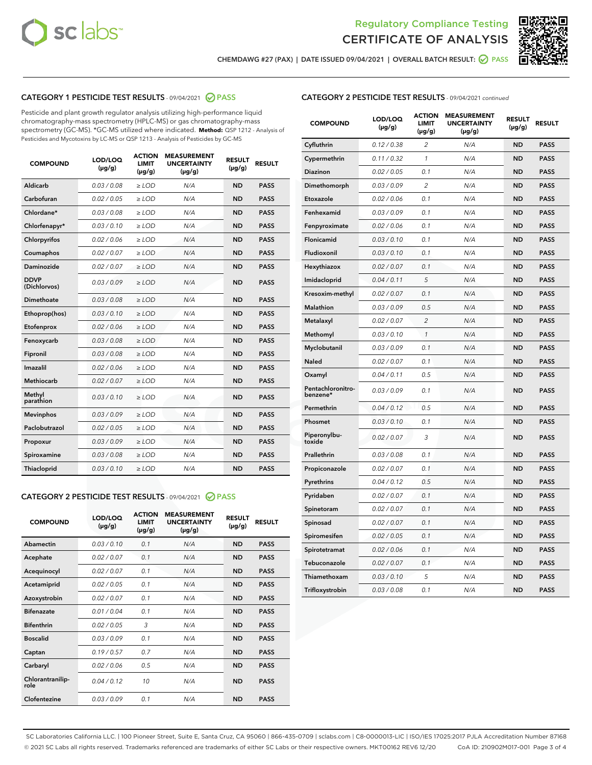



CHEMDAWG #27 (PAX) | DATE ISSUED 09/04/2021 | OVERALL BATCH RESULT: ◎ PASS

#### CATEGORY 1 PESTICIDE TEST RESULTS - 09/04/2021 2 PASS

Pesticide and plant growth regulator analysis utilizing high-performance liquid chromatography-mass spectrometry (HPLC-MS) or gas chromatography-mass spectrometry (GC-MS). \*GC-MS utilized where indicated. **Method:** QSP 1212 - Analysis of Pesticides and Mycotoxins by LC-MS or QSP 1213 - Analysis of Pesticides by GC-MS

| <b>COMPOUND</b>             | LOD/LOQ<br>$(\mu g/g)$ | <b>ACTION</b><br><b>LIMIT</b><br>$(\mu q/q)$ | <b>MEASUREMENT</b><br><b>UNCERTAINTY</b><br>$(\mu g/g)$ | <b>RESULT</b><br>$(\mu g/g)$ | <b>RESULT</b> |
|-----------------------------|------------------------|----------------------------------------------|---------------------------------------------------------|------------------------------|---------------|
| Aldicarb                    | 0.03 / 0.08            | $\ge$ LOD                                    | N/A                                                     | <b>ND</b>                    | <b>PASS</b>   |
| Carbofuran                  | 0.02/0.05              | $>$ LOD                                      | N/A                                                     | <b>ND</b>                    | <b>PASS</b>   |
| Chlordane*                  | 0.03 / 0.08            | $\ge$ LOD                                    | N/A                                                     | <b>ND</b>                    | <b>PASS</b>   |
| Chlorfenapyr*               | 0.03/0.10              | $\ge$ LOD                                    | N/A                                                     | <b>ND</b>                    | <b>PASS</b>   |
| Chlorpyrifos                | 0.02 / 0.06            | $\ge$ LOD                                    | N/A                                                     | <b>ND</b>                    | <b>PASS</b>   |
| Coumaphos                   | 0.02 / 0.07            | $>$ LOD                                      | N/A                                                     | <b>ND</b>                    | <b>PASS</b>   |
| <b>Daminozide</b>           | 0.02 / 0.07            | $\ge$ LOD                                    | N/A                                                     | <b>ND</b>                    | <b>PASS</b>   |
| <b>DDVP</b><br>(Dichlorvos) | 0.03/0.09              | $\ge$ LOD                                    | N/A                                                     | <b>ND</b>                    | <b>PASS</b>   |
| <b>Dimethoate</b>           | 0.03 / 0.08            | $\ge$ LOD                                    | N/A                                                     | <b>ND</b>                    | <b>PASS</b>   |
| Ethoprop(hos)               | 0.03/0.10              | $\ge$ LOD                                    | N/A                                                     | <b>ND</b>                    | <b>PASS</b>   |
| Etofenprox                  | 0.02 / 0.06            | $\ge$ LOD                                    | N/A                                                     | <b>ND</b>                    | <b>PASS</b>   |
| Fenoxycarb                  | 0.03 / 0.08            | $\ge$ LOD                                    | N/A                                                     | <b>ND</b>                    | <b>PASS</b>   |
| Fipronil                    | 0.03/0.08              | $>$ LOD                                      | N/A                                                     | <b>ND</b>                    | <b>PASS</b>   |
| Imazalil                    | 0.02 / 0.06            | $\ge$ LOD                                    | N/A                                                     | <b>ND</b>                    | <b>PASS</b>   |
| Methiocarb                  | 0.02 / 0.07            | $\ge$ LOD                                    | N/A                                                     | <b>ND</b>                    | <b>PASS</b>   |
| Methyl<br>parathion         | 0.03/0.10              | $>$ LOD                                      | N/A                                                     | <b>ND</b>                    | <b>PASS</b>   |
| <b>Mevinphos</b>            | 0.03/0.09              | $>$ LOD                                      | N/A                                                     | <b>ND</b>                    | <b>PASS</b>   |
| Paclobutrazol               | 0.02 / 0.05            | $\ge$ LOD                                    | N/A                                                     | <b>ND</b>                    | <b>PASS</b>   |
| Propoxur                    | 0.03/0.09              | $\ge$ LOD                                    | N/A                                                     | <b>ND</b>                    | <b>PASS</b>   |
| Spiroxamine                 | 0.03 / 0.08            | $\ge$ LOD                                    | N/A                                                     | <b>ND</b>                    | <b>PASS</b>   |
| <b>Thiacloprid</b>          | 0.03/0.10              | $\ge$ LOD                                    | N/A                                                     | <b>ND</b>                    | <b>PASS</b>   |

#### CATEGORY 2 PESTICIDE TEST RESULTS - 09/04/2021 @ PASS

| <b>COMPOUND</b>          | LOD/LOO<br>$(\mu g/g)$ | <b>ACTION</b><br>LIMIT<br>$(\mu g/g)$ | <b>MEASUREMENT</b><br><b>UNCERTAINTY</b><br>$(\mu g/g)$ | <b>RESULT</b><br>$(\mu g/g)$ | <b>RESULT</b> |  |
|--------------------------|------------------------|---------------------------------------|---------------------------------------------------------|------------------------------|---------------|--|
| Abamectin                | 0.03/0.10              | 0.1                                   | N/A                                                     | <b>ND</b>                    | <b>PASS</b>   |  |
| Acephate                 | 0.02/0.07              | 0.1                                   | N/A                                                     | <b>ND</b>                    | <b>PASS</b>   |  |
| Acequinocyl              | 0.02/0.07              | 0.1                                   | N/A                                                     | <b>ND</b>                    | <b>PASS</b>   |  |
| Acetamiprid              | 0.02 / 0.05            | 0.1                                   | N/A                                                     | <b>ND</b>                    | <b>PASS</b>   |  |
| Azoxystrobin             | 0.02/0.07              | 0.1                                   | N/A                                                     | <b>ND</b>                    | <b>PASS</b>   |  |
| <b>Bifenazate</b>        | 0.01 / 0.04            | 0.1                                   | N/A                                                     | <b>ND</b>                    | <b>PASS</b>   |  |
| <b>Bifenthrin</b>        | 0.02 / 0.05            | 3                                     | N/A                                                     | <b>ND</b>                    | <b>PASS</b>   |  |
| <b>Boscalid</b>          | 0.03/0.09              | 0.1                                   | N/A                                                     | <b>ND</b>                    | <b>PASS</b>   |  |
| Captan                   | 0.19/0.57              | 0.7                                   | N/A                                                     | <b>ND</b>                    | <b>PASS</b>   |  |
| Carbaryl                 | 0.02/0.06              | 0.5                                   | N/A                                                     | <b>ND</b>                    | <b>PASS</b>   |  |
| Chlorantranilip-<br>role | 0.04/0.12              | 10                                    | N/A                                                     | <b>ND</b>                    | <b>PASS</b>   |  |
| Clofentezine             | 0.03/0.09              | 0.1                                   | N/A                                                     | <b>ND</b>                    | <b>PASS</b>   |  |

| <b>CATEGORY 2 PESTICIDE TEST RESULTS</b> - 09/04/2021 continued |  |
|-----------------------------------------------------------------|--|
|                                                                 |  |

| <b>COMPOUND</b>               | LOD/LOQ<br>(µg/g) | <b>ACTION</b><br><b>LIMIT</b><br>$(\mu g/g)$ | <b>MEASUREMENT</b><br><b>UNCERTAINTY</b><br>$(\mu g/g)$ | <b>RESULT</b><br>(µg/g) | <b>RESULT</b> |
|-------------------------------|-------------------|----------------------------------------------|---------------------------------------------------------|-------------------------|---------------|
| Cyfluthrin                    | 0.12 / 0.38       | $\overline{c}$                               | N/A                                                     | <b>ND</b>               | <b>PASS</b>   |
| Cypermethrin                  | 0.11 / 0.32       | $\mathbf{1}$                                 | N/A                                                     | <b>ND</b>               | <b>PASS</b>   |
| <b>Diazinon</b>               | 0.02 / 0.05       | 0.1                                          | N/A                                                     | <b>ND</b>               | <b>PASS</b>   |
| Dimethomorph                  | 0.03 / 0.09       | $\overline{c}$                               | N/A                                                     | <b>ND</b>               | <b>PASS</b>   |
| Etoxazole                     | 0.02 / 0.06       | 0.1                                          | N/A                                                     | <b>ND</b>               | <b>PASS</b>   |
| Fenhexamid                    | 0.03 / 0.09       | 0.1                                          | N/A                                                     | <b>ND</b>               | <b>PASS</b>   |
| Fenpyroximate                 | 0.02 / 0.06       | 0.1                                          | N/A                                                     | <b>ND</b>               | <b>PASS</b>   |
| Flonicamid                    | 0.03 / 0.10       | 0.1                                          | N/A                                                     | <b>ND</b>               | <b>PASS</b>   |
| Fludioxonil                   | 0.03 / 0.10       | 0.1                                          | N/A                                                     | <b>ND</b>               | <b>PASS</b>   |
| Hexythiazox                   | 0.02 / 0.07       | 0.1                                          | N/A                                                     | <b>ND</b>               | <b>PASS</b>   |
| Imidacloprid                  | 0.04 / 0.11       | 5                                            | N/A                                                     | <b>ND</b>               | <b>PASS</b>   |
| Kresoxim-methyl               | 0.02 / 0.07       | 0.1                                          | N/A                                                     | <b>ND</b>               | <b>PASS</b>   |
| <b>Malathion</b>              | 0.03 / 0.09       | 0.5                                          | N/A                                                     | <b>ND</b>               | <b>PASS</b>   |
| Metalaxyl                     | 0.02 / 0.07       | $\overline{2}$                               | N/A                                                     | <b>ND</b>               | <b>PASS</b>   |
| Methomyl                      | 0.03 / 0.10       | 1                                            | N/A                                                     | <b>ND</b>               | <b>PASS</b>   |
| Myclobutanil                  | 0.03 / 0.09       | 0.1                                          | N/A                                                     | <b>ND</b>               | <b>PASS</b>   |
| Naled                         | 0.02 / 0.07       | 0.1                                          | N/A                                                     | <b>ND</b>               | <b>PASS</b>   |
| Oxamyl                        | 0.04 / 0.11       | 0.5                                          | N/A                                                     | <b>ND</b>               | <b>PASS</b>   |
| Pentachloronitro-<br>benzene* | 0.03 / 0.09       | 0.1                                          | N/A                                                     | <b>ND</b>               | <b>PASS</b>   |
| Permethrin                    | 0.04 / 0.12       | 0.5                                          | N/A                                                     | <b>ND</b>               | <b>PASS</b>   |
| Phosmet                       | 0.03 / 0.10       | 0.1                                          | N/A                                                     | <b>ND</b>               | <b>PASS</b>   |
| Piperonylbu-<br>toxide        | 0.02 / 0.07       | 3                                            | N/A                                                     | <b>ND</b>               | <b>PASS</b>   |
| Prallethrin                   | 0.03 / 0.08       | 0.1                                          | N/A                                                     | <b>ND</b>               | <b>PASS</b>   |
| Propiconazole                 | 0.02 / 0.07       | 0.1                                          | N/A                                                     | <b>ND</b>               | <b>PASS</b>   |
| Pyrethrins                    | 0.04 / 0.12       | 0.5                                          | N/A                                                     | <b>ND</b>               | <b>PASS</b>   |
| Pyridaben                     | 0.02 / 0.07       | 0.1                                          | N/A                                                     | <b>ND</b>               | <b>PASS</b>   |
| Spinetoram                    | 0.02 / 0.07       | 0.1                                          | N/A                                                     | <b>ND</b>               | <b>PASS</b>   |
| Spinosad                      | 0.02 / 0.07       | 0.1                                          | N/A                                                     | ND                      | <b>PASS</b>   |
| Spiromesifen                  | 0.02 / 0.05       | 0.1                                          | N/A                                                     | <b>ND</b>               | <b>PASS</b>   |
| Spirotetramat                 | 0.02 / 0.06       | 0.1                                          | N/A                                                     | <b>ND</b>               | <b>PASS</b>   |
| Tebuconazole                  | 0.02 / 0.07       | 0.1                                          | N/A                                                     | <b>ND</b>               | <b>PASS</b>   |
| Thiamethoxam                  | 0.03 / 0.10       | 5                                            | N/A                                                     | <b>ND</b>               | <b>PASS</b>   |
| Trifloxystrobin               | 0.03 / 0.08       | 0.1                                          | N/A                                                     | ND                      | <b>PASS</b>   |

SC Laboratories California LLC. | 100 Pioneer Street, Suite E, Santa Cruz, CA 95060 | 866-435-0709 | sclabs.com | C8-0000013-LIC | ISO/IES 17025:2017 PJLA Accreditation Number 87168 © 2021 SC Labs all rights reserved. Trademarks referenced are trademarks of either SC Labs or their respective owners. MKT00162 REV6 12/20 CoA ID: 210902M017-001 Page 3 of 4